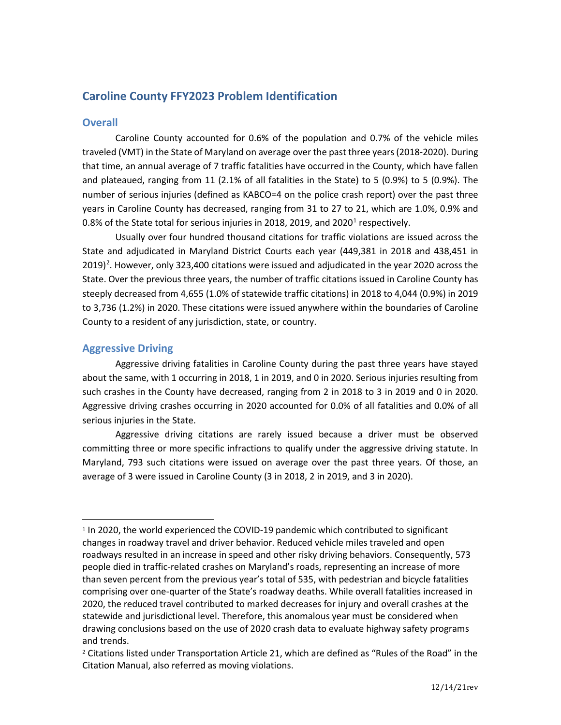# **Caroline County FFY2023 Problem Identification**

## **Overall**

Caroline County accounted for 0.6% of the population and 0.7% of the vehicle miles traveled (VMT) in the State of Maryland on average over the past three years (2018-2020). During that time, an annual average of 7 traffic fatalities have occurred in the County, which have fallen and plateaued, ranging from 11 (2.1% of all fatalities in the State) to 5 (0.9%) to 5 (0.9%). The number of serious injuries (defined as KABCO=4 on the police crash report) over the past three years in Caroline County has decreased, ranging from 31 to 27 to 21, which are 1.0%, 0.9% and 0.8% of the State total for serious injuries in 20[1](#page-0-0)8, 2019, and 2020<sup>1</sup> respectively.

Usually over four hundred thousand citations for traffic violations are issued across the State and adjudicated in Maryland District Courts each year (449,381 in 2018 and 438,451 in  $2019)$  $2019)$ <sup>2</sup>. However, only 323,400 citations were issued and adjudicated in the year 2020 across the State. Over the previous three years, the number of traffic citations issued in Caroline County has steeply decreased from 4,655 (1.0% of statewide traffic citations) in 2018 to 4,044 (0.9%) in 2019 to 3,736 (1.2%) in 2020. These citations were issued anywhere within the boundaries of Caroline County to a resident of any jurisdiction, state, or country.

# **Aggressive Driving**

Aggressive driving fatalities in Caroline County during the past three years have stayed about the same, with 1 occurring in 2018, 1 in 2019, and 0 in 2020. Serious injuries resulting from such crashes in the County have decreased, ranging from 2 in 2018 to 3 in 2019 and 0 in 2020. Aggressive driving crashes occurring in 2020 accounted for 0.0% of all fatalities and 0.0% of all serious injuries in the State.

Aggressive driving citations are rarely issued because a driver must be observed committing three or more specific infractions to qualify under the aggressive driving statute. In Maryland, 793 such citations were issued on average over the past three years. Of those, an average of 3 were issued in Caroline County (3 in 2018, 2 in 2019, and 3 in 2020).

<span id="page-0-0"></span><sup>1</sup> In 2020, the world experienced the COVID-19 pandemic which contributed to significant changes in roadway travel and driver behavior. Reduced vehicle miles traveled and open roadways resulted in an increase in speed and other risky driving behaviors. Consequently, 573 people died in traffic-related crashes on Maryland's roads, representing an increase of more than seven percent from the previous year's total of 535, with pedestrian and bicycle fatalities comprising over one-quarter of the State's roadway deaths. While overall fatalities increased in 2020, the reduced travel contributed to marked decreases for injury and overall crashes at the statewide and jurisdictional level. Therefore, this anomalous year must be considered when drawing conclusions based on the use of 2020 crash data to evaluate highway safety programs and trends.

<span id="page-0-1"></span><sup>2</sup> Citations listed under Transportation Article 21, which are defined as "Rules of the Road" in the Citation Manual, also referred as moving violations.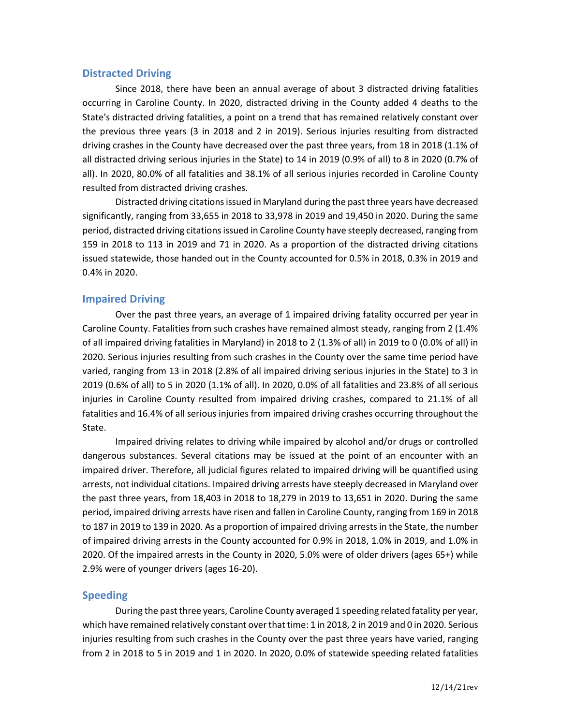### **Distracted Driving**

Since 2018, there have been an annual average of about 3 distracted driving fatalities occurring in Caroline County. In 2020, distracted driving in the County added 4 deaths to the State's distracted driving fatalities, a point on a trend that has remained relatively constant over the previous three years (3 in 2018 and 2 in 2019). Serious injuries resulting from distracted driving crashes in the County have decreased over the past three years, from 18 in 2018 (1.1% of all distracted driving serious injuries in the State) to 14 in 2019 (0.9% of all) to 8 in 2020 (0.7% of all). In 2020, 80.0% of all fatalities and 38.1% of all serious injuries recorded in Caroline County resulted from distracted driving crashes.

Distracted driving citations issued in Maryland during the past three years have decreased significantly, ranging from 33,655 in 2018 to 33,978 in 2019 and 19,450 in 2020. During the same period, distracted driving citations issued in Caroline County have steeply decreased, ranging from 159 in 2018 to 113 in 2019 and 71 in 2020. As a proportion of the distracted driving citations issued statewide, those handed out in the County accounted for 0.5% in 2018, 0.3% in 2019 and 0.4% in 2020.

### **Impaired Driving**

Over the past three years, an average of 1 impaired driving fatality occurred per year in Caroline County. Fatalities from such crashes have remained almost steady, ranging from 2 (1.4% of all impaired driving fatalities in Maryland) in 2018 to 2 (1.3% of all) in 2019 to 0 (0.0% of all) in 2020. Serious injuries resulting from such crashes in the County over the same time period have varied, ranging from 13 in 2018 (2.8% of all impaired driving serious injuries in the State) to 3 in 2019 (0.6% of all) to 5 in 2020 (1.1% of all). In 2020, 0.0% of all fatalities and 23.8% of all serious injuries in Caroline County resulted from impaired driving crashes, compared to 21.1% of all fatalities and 16.4% of all serious injuries from impaired driving crashes occurring throughout the State.

Impaired driving relates to driving while impaired by alcohol and/or drugs or controlled dangerous substances. Several citations may be issued at the point of an encounter with an impaired driver. Therefore, all judicial figures related to impaired driving will be quantified using arrests, not individual citations. Impaired driving arrests have steeply decreased in Maryland over the past three years, from 18,403 in 2018 to 18,279 in 2019 to 13,651 in 2020. During the same period, impaired driving arrests have risen and fallen in Caroline County, ranging from 169 in 2018 to 187 in 2019 to 139 in 2020. As a proportion of impaired driving arrests in the State, the number of impaired driving arrests in the County accounted for 0.9% in 2018, 1.0% in 2019, and 1.0% in 2020. Of the impaired arrests in the County in 2020, 5.0% were of older drivers (ages 65+) while 2.9% were of younger drivers (ages 16-20).

#### **Speeding**

During the past three years, Caroline County averaged 1 speeding related fatality per year, which have remained relatively constant over that time: 1 in 2018, 2 in 2019 and 0 in 2020. Serious injuries resulting from such crashes in the County over the past three years have varied, ranging from 2 in 2018 to 5 in 2019 and 1 in 2020. In 2020, 0.0% of statewide speeding related fatalities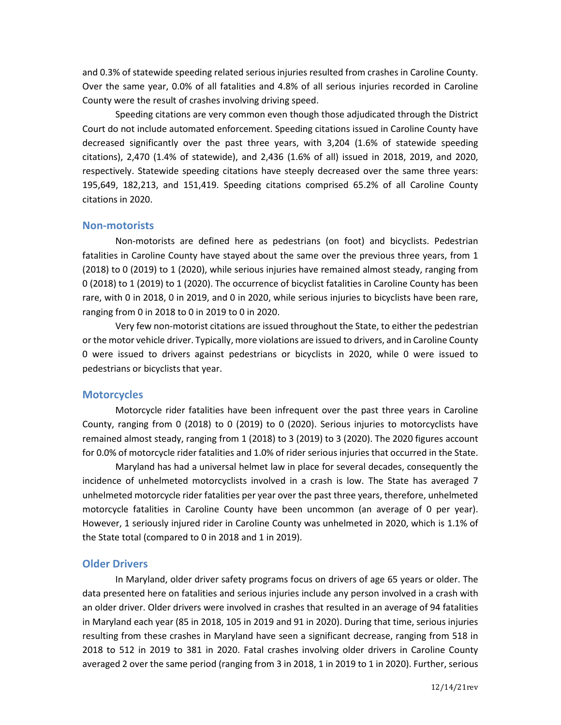and 0.3% of statewide speeding related serious injuries resulted from crashes in Caroline County. Over the same year, 0.0% of all fatalities and 4.8% of all serious injuries recorded in Caroline County were the result of crashes involving driving speed.

Speeding citations are very common even though those adjudicated through the District Court do not include automated enforcement. Speeding citations issued in Caroline County have decreased significantly over the past three years, with 3,204 (1.6% of statewide speeding citations), 2,470 (1.4% of statewide), and 2,436 (1.6% of all) issued in 2018, 2019, and 2020, respectively. Statewide speeding citations have steeply decreased over the same three years: 195,649, 182,213, and 151,419. Speeding citations comprised 65.2% of all Caroline County citations in 2020.

#### **Non-motorists**

Non-motorists are defined here as pedestrians (on foot) and bicyclists. Pedestrian fatalities in Caroline County have stayed about the same over the previous three years, from 1 (2018) to 0 (2019) to 1 (2020), while serious injuries have remained almost steady, ranging from 0 (2018) to 1 (2019) to 1 (2020). The occurrence of bicyclist fatalities in Caroline County has been rare, with 0 in 2018, 0 in 2019, and 0 in 2020, while serious injuries to bicyclists have been rare, ranging from 0 in 2018 to 0 in 2019 to 0 in 2020.

Very few non-motorist citations are issued throughout the State, to either the pedestrian or the motor vehicle driver. Typically, more violations are issued to drivers, and in Caroline County 0 were issued to drivers against pedestrians or bicyclists in 2020, while 0 were issued to pedestrians or bicyclists that year.

#### **Motorcycles**

Motorcycle rider fatalities have been infrequent over the past three years in Caroline County, ranging from 0 (2018) to 0 (2019) to 0 (2020). Serious injuries to motorcyclists have remained almost steady, ranging from 1 (2018) to 3 (2019) to 3 (2020). The 2020 figures account for 0.0% of motorcycle rider fatalities and 1.0% of rider serious injuries that occurred in the State.

Maryland has had a universal helmet law in place for several decades, consequently the incidence of unhelmeted motorcyclists involved in a crash is low. The State has averaged 7 unhelmeted motorcycle rider fatalities per year over the past three years, therefore, unhelmeted motorcycle fatalities in Caroline County have been uncommon (an average of 0 per year). However, 1 seriously injured rider in Caroline County was unhelmeted in 2020, which is 1.1% of the State total (compared to 0 in 2018 and 1 in 2019).

#### **Older Drivers**

In Maryland, older driver safety programs focus on drivers of age 65 years or older. The data presented here on fatalities and serious injuries include any person involved in a crash with an older driver. Older drivers were involved in crashes that resulted in an average of 94 fatalities in Maryland each year (85 in 2018, 105 in 2019 and 91 in 2020). During that time, serious injuries resulting from these crashes in Maryland have seen a significant decrease, ranging from 518 in 2018 to 512 in 2019 to 381 in 2020. Fatal crashes involving older drivers in Caroline County averaged 2 over the same period (ranging from 3 in 2018, 1 in 2019 to 1 in 2020). Further, serious